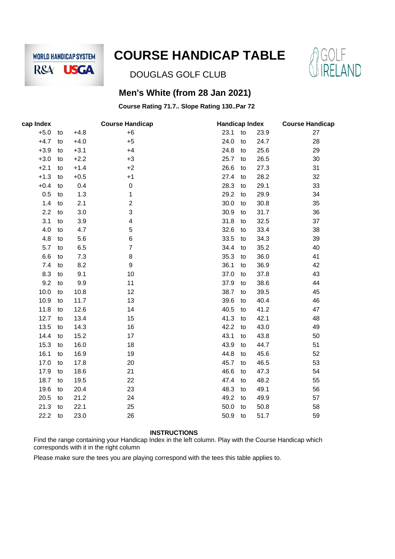

# **COURSE HANDICAP TABLE**



DOUGLAS GOLF CLUB

### **Men's White (from 28 Jan 2021)**

### **Course Rating 71.7.. Slope Rating 130..Par 72**

| cap Index |    |        | <b>Course Handicap</b> | <b>Handicap Index</b> | <b>Course Handicap</b> |      |    |
|-----------|----|--------|------------------------|-----------------------|------------------------|------|----|
| $+5.0$    | to | $+4.8$ | $+6$                   | 23.1                  | to                     | 23.9 | 27 |
| $+4.7$    | to | $+4.0$ | $+5$                   | 24.0                  | to                     | 24.7 | 28 |
| $+3.9$    | to | $+3.1$ | $+4$                   | 24.8                  | to                     | 25.6 | 29 |
| $+3.0$    | to | $+2.2$ | $+3$                   | 25.7                  | to                     | 26.5 | 30 |
| $+2.1$    | to | $+1.4$ | $+2$                   | 26.6                  | to                     | 27.3 | 31 |
| $+1.3$    | to | $+0.5$ | $+1$                   | 27.4                  | to                     | 28.2 | 32 |
| $+0.4$    | to | 0.4    | 0                      | 28.3                  | to                     | 29.1 | 33 |
| 0.5       | to | 1.3    | 1                      | 29.2                  | to                     | 29.9 | 34 |
| 1.4       | to | 2.1    | $\overline{2}$         | 30.0                  | to                     | 30.8 | 35 |
| 2.2       | to | 3.0    | 3                      | 30.9                  | to                     | 31.7 | 36 |
| 3.1       | to | 3.9    | 4                      | 31.8                  | to                     | 32.5 | 37 |
| 4.0       | to | 4.7    | 5                      | 32.6                  | to                     | 33.4 | 38 |
| 4.8       | to | 5.6    | 6                      | 33.5                  | to                     | 34.3 | 39 |
| 5.7       | to | 6.5    | $\overline{7}$         | 34.4                  | to                     | 35.2 | 40 |
| 6.6       | to | 7.3    | 8                      | 35.3                  | to                     | 36.0 | 41 |
| 7.4       | to | 8.2    | 9                      | 36.1                  | to                     | 36.9 | 42 |
| 8.3       | to | 9.1    | 10                     | 37.0                  | to                     | 37.8 | 43 |
| 9.2       | to | 9.9    | 11                     | 37.9                  | to                     | 38.6 | 44 |
| 10.0      | to | 10.8   | 12                     | 38.7                  | to                     | 39.5 | 45 |
| 10.9      | to | 11.7   | 13                     | 39.6                  | to                     | 40.4 | 46 |
| 11.8      | to | 12.6   | 14                     | 40.5                  | to                     | 41.2 | 47 |
| 12.7      | to | 13.4   | 15                     | 41.3                  | to                     | 42.1 | 48 |
| 13.5      | to | 14.3   | 16                     | 42.2                  | to                     | 43.0 | 49 |
| 14.4      | to | 15.2   | 17                     | 43.1                  | to                     | 43.8 | 50 |
| 15.3      | to | 16.0   | 18                     | 43.9                  | to                     | 44.7 | 51 |
| 16.1      | to | 16.9   | 19                     | 44.8                  | to                     | 45.6 | 52 |
| 17.0      | to | 17.8   | 20                     | 45.7                  | to                     | 46.5 | 53 |
| 17.9      | to | 18.6   | 21                     | 46.6                  | to                     | 47.3 | 54 |
| 18.7      | to | 19.5   | 22                     | 47.4                  | to                     | 48.2 | 55 |
| 19.6      | to | 20.4   | 23                     | 48.3                  | to                     | 49.1 | 56 |
| 20.5      | to | 21.2   | 24                     | 49.2                  | to                     | 49.9 | 57 |
| 21.3      | to | 22.1   | 25                     | 50.0                  | to                     | 50.8 | 58 |
| 22.2      | to | 23.0   | 26                     | 50.9                  | to                     | 51.7 | 59 |
|           |    |        |                        |                       |                        |      |    |

#### **INSTRUCTIONS**

Find the range containing your Handicap Index in the left column. Play with the Course Handicap which corresponds with it in the right column

Please make sure the tees you are playing correspond with the tees this table applies to.